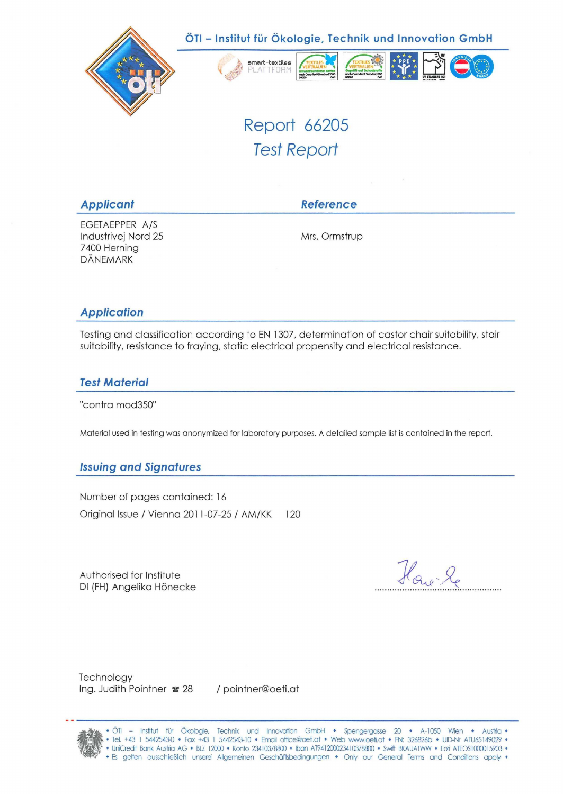

Report 66205 Test Report

|  |  | <b>Applicant</b> |
|--|--|------------------|
|  |  |                  |

**Applicant Reference** 

EGETAEPPER A/S Industrivej Nord 25 Mrs. Ormstrup 7400 Herning DÄNEMARK

## **Application**

Testing and Classification according to EN 1307, determination of castor chair suitability, stair suitability, resistance to fraying, static electrical propensity and electrical resistance.

## **Test Material**

"contra mod350"

Material used in testing was anonymized for laboratory purposes. A detaiied sample list is contained in the report.

## **Issuing and Signatures**

Number of pages contained: 16 Original Issue / Vienna 2011 -07-25 / AM/KK 120

Authorised for Institute DI (FH) Angelika Hönecke

How le

**Technology** Ing. Judith Pointner  $\approx 28$  / pointner@oeti.at

ÖTI - Institut für Ökobgie, Technik und Innovation GmbH • Spengergasse 20 • A-1050 Wien • Austria • • Tel. +43 1 5442543-0 • Fax +43 1 5442543-10 • Email office@oeti.at • Web www.oeti.at • FN: 326826b • UID-Nr ATU65149029 • • UniCredit Bank Austria AG • BLZ 12000 • Konto 23410378800 • Iban AT941200023410378800 • Swift BKAUATWW • Eori ATEOS1000015903 • • Es gelten ausschließlich unsere Allgemeinen Geschäftsbedingungen • Only our General Terms and Conditions apply •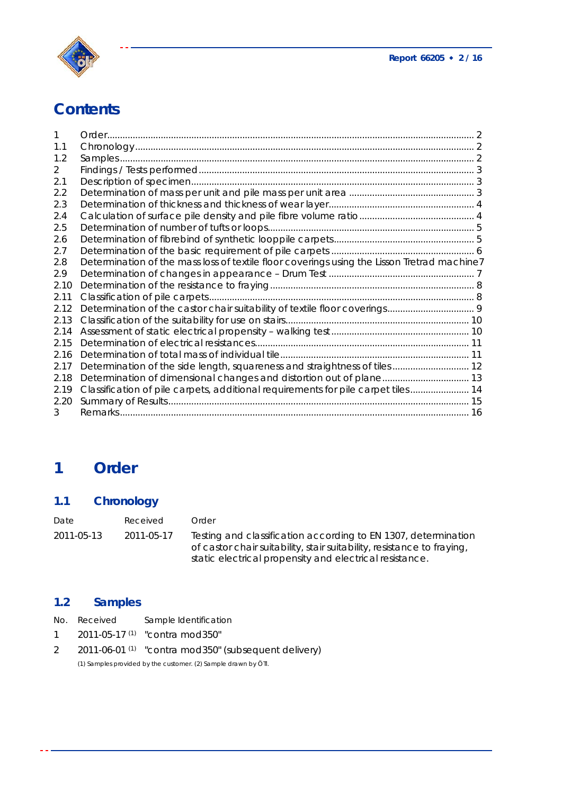



# **Contents**

| 1.1  |                                                                                             |  |
|------|---------------------------------------------------------------------------------------------|--|
| 1.2  |                                                                                             |  |
| 2    |                                                                                             |  |
| 2.1  |                                                                                             |  |
| 2.2  |                                                                                             |  |
| 2.3  |                                                                                             |  |
| 2.4  |                                                                                             |  |
| 2.5  |                                                                                             |  |
| 2.6  |                                                                                             |  |
| 2.7  |                                                                                             |  |
| 2.8  | Determination of the mass loss of textile floor coverings using the Lisson Tretrad machine7 |  |
| 2.9  |                                                                                             |  |
| 2.10 |                                                                                             |  |
| 2.11 |                                                                                             |  |
| 2.12 |                                                                                             |  |
| 2.13 |                                                                                             |  |
| 2.14 |                                                                                             |  |
| 2.15 |                                                                                             |  |
| 2.16 |                                                                                             |  |
| 2.17 | Determination of the side length, squareness and straightness of tiles 12                   |  |
| 2.18 |                                                                                             |  |
| 2.19 | Classification of pile carpets, additional requirements for pile carpet tiles 14            |  |
| 2.20 |                                                                                             |  |
| 3    |                                                                                             |  |

# **1 Order**

# **1.1 Chronology**

| Date       | Received   | Order                                                                                                                                                                                               |
|------------|------------|-----------------------------------------------------------------------------------------------------------------------------------------------------------------------------------------------------|
| 2011-05-13 | 2011-05-17 | Testing and classification according to EN 1307, determination<br>of castor chair suitability, stair suitability, resistance to fraying,<br>static electrical propensity and electrical resistance. |

# **1.2 Samples**

| No. Received | Sample Identification                                              |
|--------------|--------------------------------------------------------------------|
|              | 1 $2011-05-17$ <sup>(1)</sup> "contra mod 350"                     |
|              | 2 2011-06-01 <sup>(1)</sup> "contra mod 350" (subsequent delivery) |
|              | (1) Samples provided by the customer. (2) Sample drawn by ÖTI.     |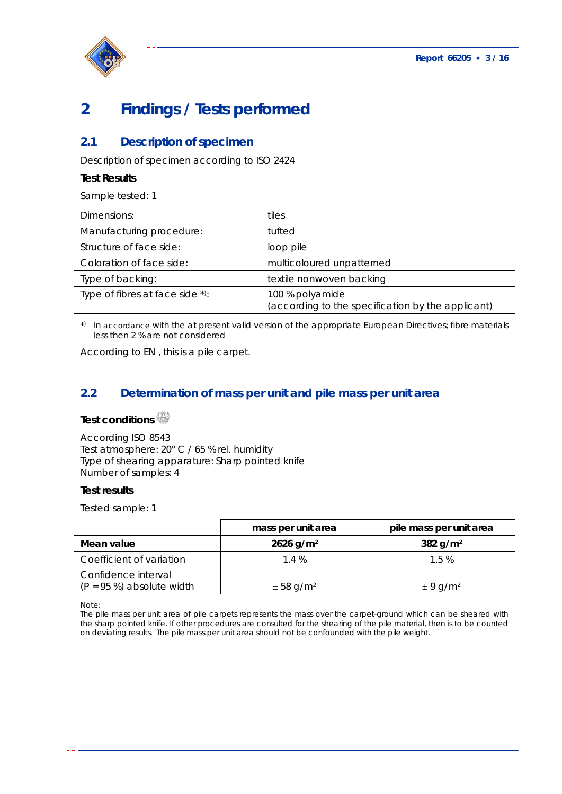

# **2 Findings / Tests performed**

## **2.1 Description of specimen**

Description of specimen according to ISO 2424

### **Test Results**

Sample tested: 1

| Dimensions:                     | tiles                                                                |
|---------------------------------|----------------------------------------------------------------------|
| Manufacturing procedure:        | tufted                                                               |
| Structure of face side:         | loop pile                                                            |
| Coloration of face side:        | multicoloured unpatterned                                            |
| Type of backing:                | textile nonwoven backing                                             |
| Type of fibres at face side *): | 100 % polyamide<br>(according to the specification by the applicant) |

\*) In accordance with the at present valid version of the appropriate European Directives; fibre materials less then 2 % are not considered

According to EN , this is a pile carpet.

## **2.2 Determination of mass per unit and pile mass per unit area**

## **Test conditions**

According ISO 8543 Test atmosphere: 20° C / 65 % rel. humidity Type of shearing apparature: Sharp pointed knife Number of samples: 4

#### **Test results**

Tested sample: 1

|                                                     | mass per unit area        | pile mass per unit area  |
|-----------------------------------------------------|---------------------------|--------------------------|
| Mean value                                          | $2626$ g/m <sup>2</sup>   | 382 g/m <sup>2</sup>     |
| Coefficient of variation                            | 1.4%                      | 1.5%                     |
| Confidence interval<br>$(P = 95 \%)$ absolute width | $\pm$ 58 g/m <sup>2</sup> | $\pm$ 9 g/m <sup>2</sup> |

Note:

The pile mass per unit area of pile carpets represents the mass over the carpet-ground which can be sheared with the sharp pointed knife. If other procedures are consulted for the shearing of the pile material, then is to be counted on deviating results. The pile mass per unit area should not be confounded with the pile weight.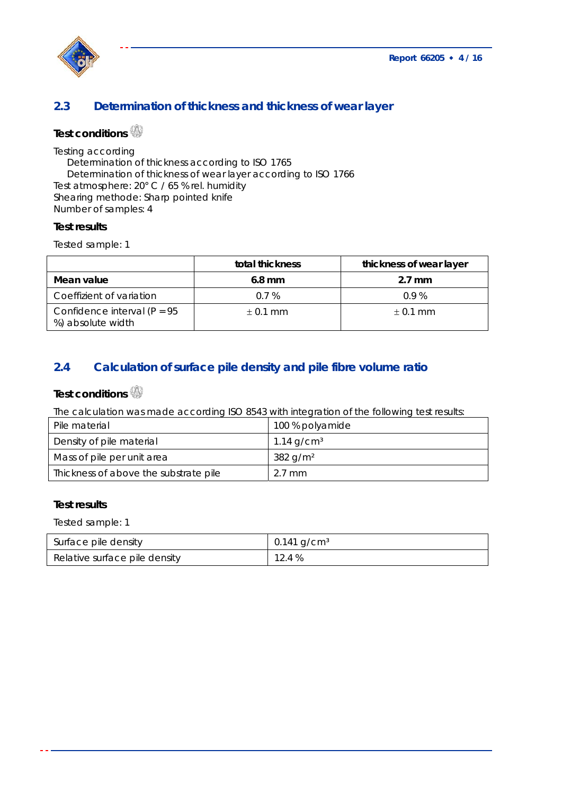

# **2.3 Determination of thickness and thickness of wear layer**

# **Test conditions**

Testing according

Determination of thickness according to ISO 1765 Determination of thickness of wear layer according to ISO 1766

Test atmosphere: 20° C / 65 % rel. humidity Shearing methode: Sharp pointed knife

Number of samples: 4

### **Test results**

Tested sample: 1

|                                                     | total thickness | thickness of wear layer |
|-----------------------------------------------------|-----------------|-------------------------|
| Mean value                                          | $6.8$ mm        | $2.7 \text{ mm}$        |
| Coeffizient of variation                            | $0.7\%$         | 0.9%                    |
| Confidence interval ( $P = 95$<br>%) absolute width | $\pm$ 0.1 mm    | $\pm$ 0.1 mm            |

## **2.4 Calculation of surface pile density and pile fibre volume ratio**

# **Test conditions**

The calculation was made according ISO 8543 with integration of the following test results:

| Pile material                         | 100 % polyamide        |
|---------------------------------------|------------------------|
| Density of pile material              | 1.14 $q/cm3$           |
| Mass of pile per unit area            | $382$ g/m <sup>2</sup> |
| Thickness of above the substrate pile | $2.7 \text{ mm}$       |

### **Test results**

Tested sample: 1

| Surface pile density          | $0.141$ g/cm <sup>3</sup> |
|-------------------------------|---------------------------|
| Relative surface pile density | 12.4 %                    |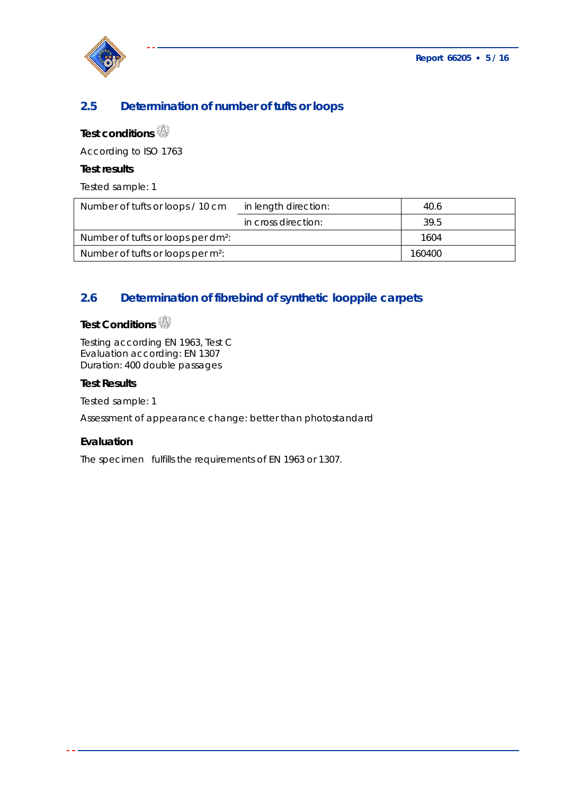

# **2.5 Determination of number of tufts or loops**

# **Test conditions**

According to ISO 1763

#### **Test results**

Tested sample: 1

| Number of tufts or loops / 10 cm               | in length direction: | 40.6   |
|------------------------------------------------|----------------------|--------|
|                                                | in cross direction:  | 39.5   |
| Number of tufts or loops per dm <sup>2</sup> : |                      | 1604   |
| Number of tufts or loops per m <sup>2</sup> :  |                      | 160400 |
|                                                |                      |        |

## **2.6 Determination of fibrebind of synthetic looppile carpets**

# **Test Conditions**

Testing according EN 1963, Test C Evaluation according: EN 1307 Duration: 400 double passages

#### **Test Results**

Tested sample: 1

Assessment of appearance change: better than photostandard

### **Evaluation**

The specimen fulfills the requirements of EN 1963 or 1307.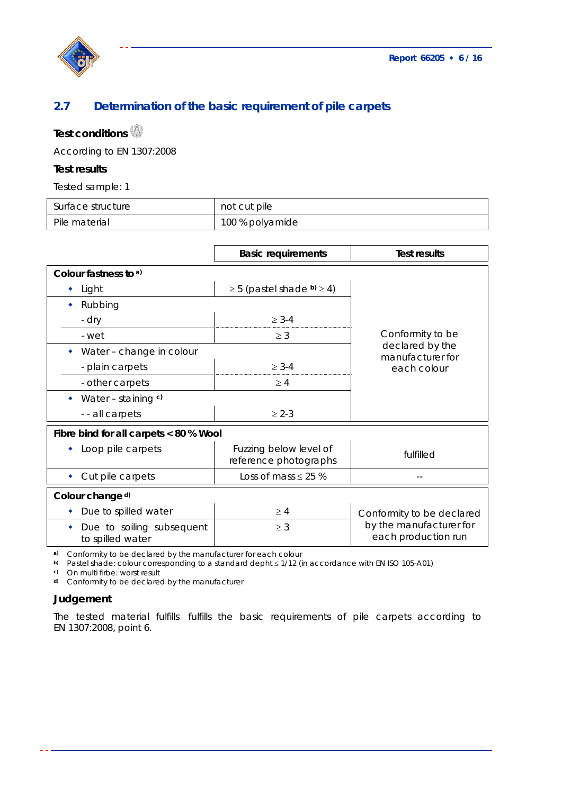

# **2.7 Determination of the basic requirement of pile carpets**

# **Test conditions**

According to EN 1307:2008

#### **Test results**

Tested sample: 1

| Surface structure | not cut pile    |
|-------------------|-----------------|
| Pile material     | 100 % polyamide |

|                                               | <b>Basic requirements</b>                       | <b>Test results</b>                            |  |
|-----------------------------------------------|-------------------------------------------------|------------------------------------------------|--|
| Colour fastness to a)                         |                                                 |                                                |  |
| Light                                         | $\geq$ 5 (pastel shade b) $\geq$ 4)             |                                                |  |
| Rubbing                                       |                                                 |                                                |  |
| - dry                                         | $\geq 3-4$                                      |                                                |  |
| - wet                                         | $\geq$ 3                                        | Conformity to be                               |  |
| Water - change in colour                      |                                                 | declared by the<br>manufacturer for            |  |
| - plain carpets                               | $\geq$ 3-4                                      | each colour                                    |  |
| - other carpets                               | $\geq 4$                                        |                                                |  |
| Water – staining $c$ )                        |                                                 |                                                |  |
| - - all carpets                               | $\geq 2-3$                                      |                                                |  |
| Fibre bind for all carpets < 80 % Wool        |                                                 |                                                |  |
| Loop pile carpets                             | Fuzzing below level of<br>reference photographs | fulfilled                                      |  |
| Cut pile carpets                              | Loss of mass $\leq$ 25 %                        |                                                |  |
| Colour change d)                              |                                                 |                                                |  |
| Due to spilled water                          | $\geq 4$                                        | Conformity to be declared                      |  |
| Due to soiling subsequent<br>to spilled water | $\geq 3$                                        | by the manufacturer for<br>each production run |  |

**a)** Conformity to be declared by the manufacturer for each colour

b) Pastel shade: colour corresponding to a standard depht  $\leq 1/12$  (in accordance with EN ISO 105-A01)

**c)** On multi firbe: worst result

**d)** Conformity to be declared by the manufacturer

### **Judgement**

The tested material fulfills fulfills the basic requirements of pile carpets according to EN 1307:2008, point 6.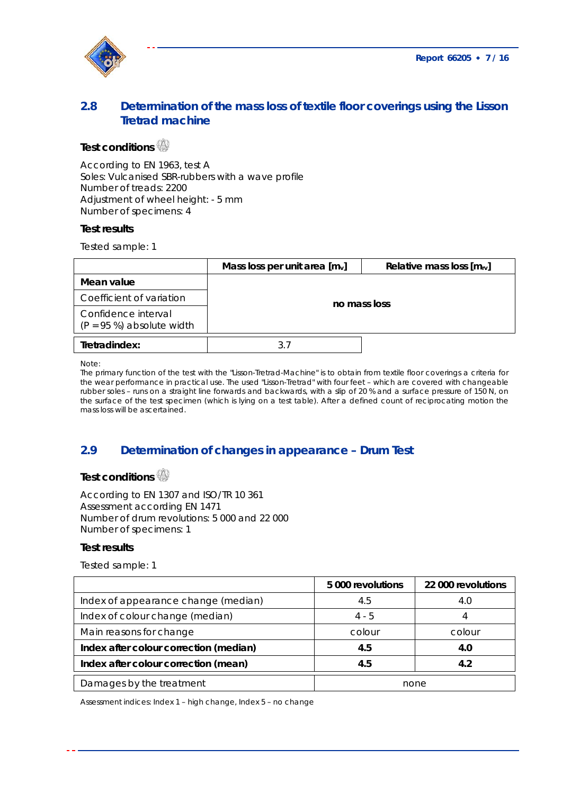

## **2.8 Determination of the mass loss of textile floor coverings using the Lisson Tretrad machine**

# **Test conditions**

According to EN 1963, test A Soles: Vulcanised SBR-rubbers with a wave profile Number of treads: 2200 Adjustment of wheel height: - 5 mm Number of specimens: 4

#### **Test results**

Tested sample: 1

|                                                     | Mass loss per unit area $[mv]$ | Relative mass loss $[m_{rv}]$ |
|-----------------------------------------------------|--------------------------------|-------------------------------|
| Mean value                                          |                                |                               |
| Coefficient of variation                            | no mass loss                   |                               |
| Confidence interval<br>$(P = 95 \%)$ absolute width |                                |                               |
| Tretradindex:                                       |                                |                               |

Note:

The primary function of the test with the "Lisson-Tretrad-Machine" is to obtain from textile floor coverings a criteria for the wear performance in practical use. The used "Lisson-Tretrad" with four feet – which are covered with changeable rubber soles – runs on a straight line forwards and backwards, with a slip of 20 % and a surface pressure of 150 N, on the surface of the test specimen (which is lying on a test table). After a defined count of reciprocating motion the mass loss will be ascertained.

## **2.9 Determination of changes in appearance – Drum Test**

## **Test conditions**

According to EN 1307 and ISO/TR 10 361 Assessment according EN 1471 Number of drum revolutions: 5 000 and 22 000 Number of specimens: 1

#### **Test results**

Tested sample: 1

|                                        | 5 000 revolutions | 22 000 revolutions |
|----------------------------------------|-------------------|--------------------|
| Index of appearance change (median)    | 4.5               | 4.0                |
| Index of colour change (median)        | $4 - 5$           |                    |
| Main reasons for change                | colour            | colour             |
| Index after colour correction (median) | 4.5               | 4.0                |
| Index after colour correction (mean)   | 4.5               | 4.2                |
| Damages by the treatment               | none              |                    |

Assessment indices: Index 1 – high change, Index 5 – no change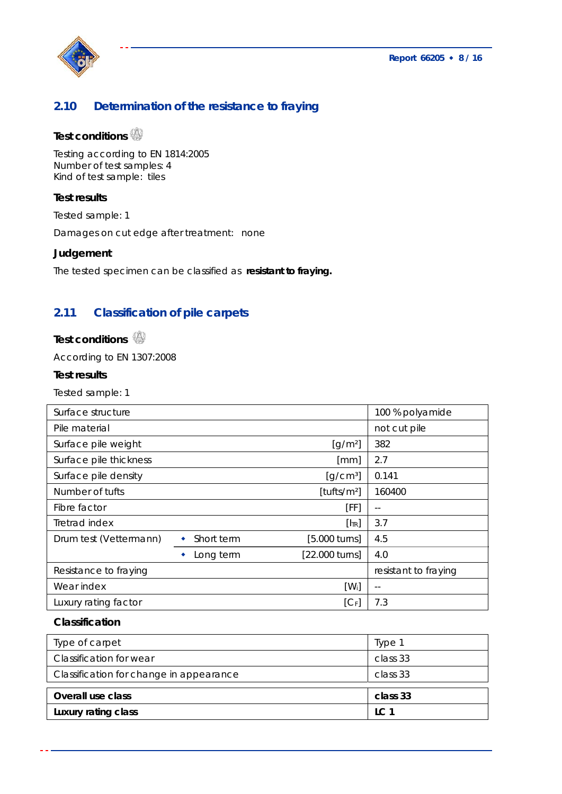**Report 66205 8 / 16** 



## **2.10 Determination of the resistance to fraying**

# **Test conditions**

Testing according to EN 1814:2005 Number of test samples: 4 Kind of test sample: tiles

### **Test results**

Tested sample: 1

Damages on cut edge after treatment: none

### **Judgement**

The tested specimen can be classified as **resistant to fraying.** 

## **2.11 Classification of pile carpets**

# **Test conditions**

According to EN 1307:2008

### **Test results**

Tested sample: 1

| Surface structure      |            |                                             | 100 % polyamide      |
|------------------------|------------|---------------------------------------------|----------------------|
| Pile material          |            |                                             | not cut pile         |
| Surface pile weight    |            | $\left[\frac{q}{m^2}\right]$                | 382                  |
| Surface pile thickness |            | [mm]                                        | 2.7                  |
| Surface pile density   |            | $\left[\frac{\text{q}}{\text{cm}^3}\right]$ | 0.141                |
| Number of tufts        |            | [tufts/m <sup>2</sup> ]                     | 160400               |
| Fibre factor           |            | [FF]                                        | $- -$                |
| Tretrad index          |            | $[  \cdot  $                                | 3.7                  |
| Drum test (Vettermann) | Short term | [5.000 turns]                               | 4.5                  |
|                        | Long term  | [22.000 turns]                              | 4.0                  |
| Resistance to fraying  |            |                                             | resistant to fraying |
| Wear index             |            | $[W_i]$                                     | $-$                  |
| Luxury rating factor   |            | $[C_F]$                                     | 7.3                  |

### **Classification**

| Type of carpet                          | Type 1          |
|-----------------------------------------|-----------------|
| <b>Classification for wear</b>          | class 33        |
| Classification for change in appearance | class 33        |
|                                         |                 |
| Overall use class                       | class 33        |
| Luxury rating class                     | LC <sub>1</sub> |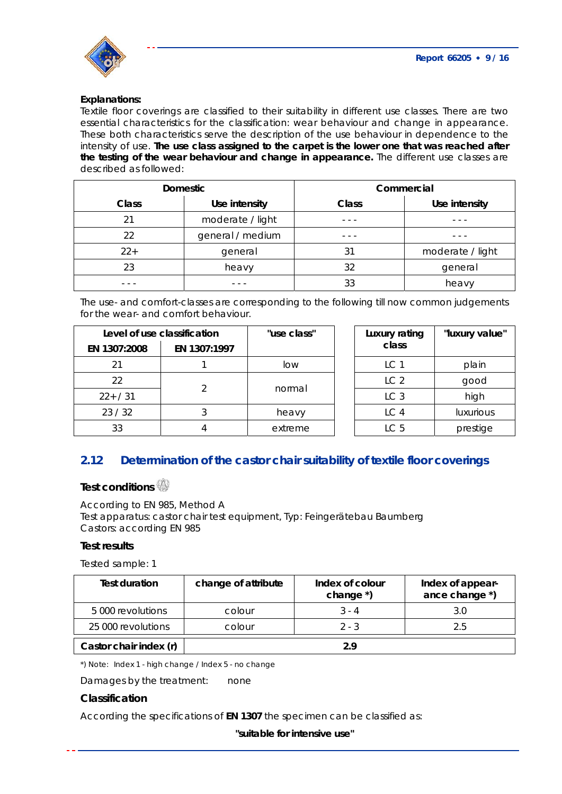

#### **Explanations:**

Textile floor coverings are classified to their suitability in different use classes. There are two essential characteristics for the classification: wear behaviour and change in appearance. These both characteristics serve the description of the use behaviour in dependence to the intensity of use. **The use class assigned to the carpet is the lower one that was reached after the testing of the wear behaviour and change in appearance.** The different use classes are described as followed:

| <b>Domestic</b> |                  | Commercial |                  |
|-----------------|------------------|------------|------------------|
| <b>Class</b>    | Use intensity    | Class      | Use intensity    |
| 21              | moderate / light |            |                  |
| 22              | general / medium |            |                  |
| $22+$           | general          | 31         | moderate / light |
| 23              | heavy            | 32         | general          |
|                 |                  | 33         | heavy            |

The use- and comfort-classes are corresponding to the following till now common judgements for the wear- and comfort behaviour.

|              | Level of use classification | "use class" | Luxury rating   | "luxury valu     |
|--------------|-----------------------------|-------------|-----------------|------------------|
| EN 1307:2008 | EN 1307:1997                |             | class           |                  |
|              |                             | low         | LC 1            | plain            |
| 22           |                             |             | LC <sub>2</sub> | good             |
| $22+ / 31$   |                             | normal      | LC <sub>3</sub> | high             |
| 23/32        |                             | heavy       | LC <sub>4</sub> | <b>luxurious</b> |
| 33           |                             | extreme     | LC <sub>5</sub> | prestige         |

| tion<br>07:1997 | "use class" | Luxury rating<br>class | "luxury value" |
|-----------------|-------------|------------------------|----------------|
|                 | low         | LC1                    | plain          |
|                 |             | LC <sub>2</sub>        | good           |
| 2               | normal      | LC <sub>3</sub>        | high           |
| 3               | heavy       | LC <sub>4</sub>        | luxurious      |
| 4               | extreme     | LC <sub>5</sub>        | prestige       |

## **2.12 Determination of the castor chair suitability of textile floor coverings**

### **Test conditions**

According to EN 985, Method A Test apparatus: castor chair test equipment, Typ: Feingerätebau Baumberg Castors: according EN 985

#### **Test results**

Tested sample: 1

| <b>Test duration</b>   | change of attribute | Index of colour<br>change *) | Index of appear-<br>ance change *) |
|------------------------|---------------------|------------------------------|------------------------------------|
| 5 000 revolutions      | colour              | $3 - 4$                      |                                    |
| 25 000 revolutions     | colour              | $2 - 3$                      | 25                                 |
| Castor chair index (r) |                     | 2 Q                          |                                    |

\*) Note: Index 1 - high change / Index 5 - no change

Damages by the treatment: none

#### **Classification**

According the specifications of **EN 1307** the specimen can be classified as:

**"suitable for intensive use"**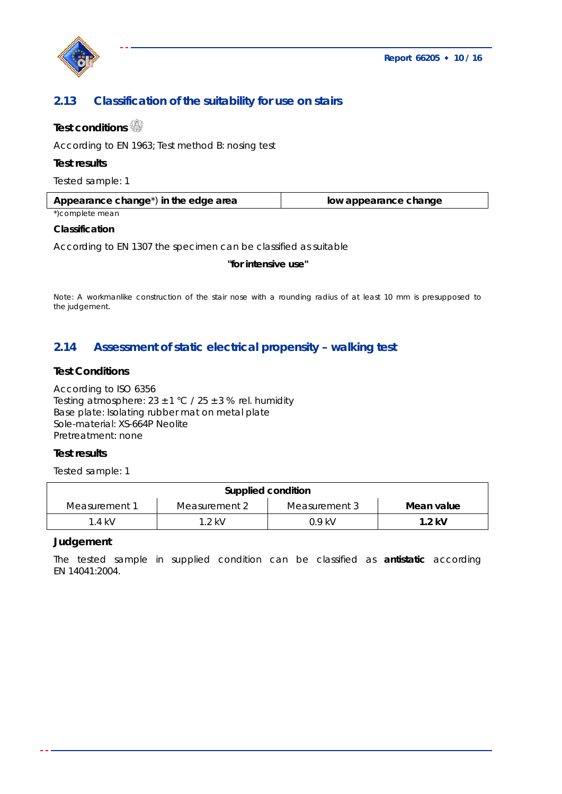

## **2.13 Classification of the suitability for use on stairs**

## **Test conditions**

According to EN 1963; Test method B: nosing test

### **Test results**

Tested sample: 1

| Appearance change <sup>*</sup> ) in the edge area | low appearance change |  |
|---------------------------------------------------|-----------------------|--|
| *)complete mean                                   |                       |  |

#### **Classification**

According to EN 1307 the specimen can be classified as suitable

#### **"for intensive use"**

Note: A workmanlike construction of the stair nose with a rounding radius of at least 10 mm is presupposed to the judgement.

## **2.14 Assessment of static electrical propensity – walking test**

### **Test Conditions**

According to ISO 6356 Testing atmosphere:  $23 \pm 1$  °C /  $25 \pm 3$  % rel. humidity Base plate: Isolating rubber mat on metal plate Sole-material: XS-664P Neolite Pretreatment: none

### **Test results**

Tested sample: 1

| Supplied condition |               |               |            |
|--------------------|---------------|---------------|------------|
| Measurement 1      | Measurement 2 | Measurement 3 | Mean value |
| .4 kV              | $1.2$ kV      | በ 9 kV        | $1.2$ kV   |

### **Judgement**

The tested sample in supplied condition can be classified as **antistatic** according EN 14041:2004.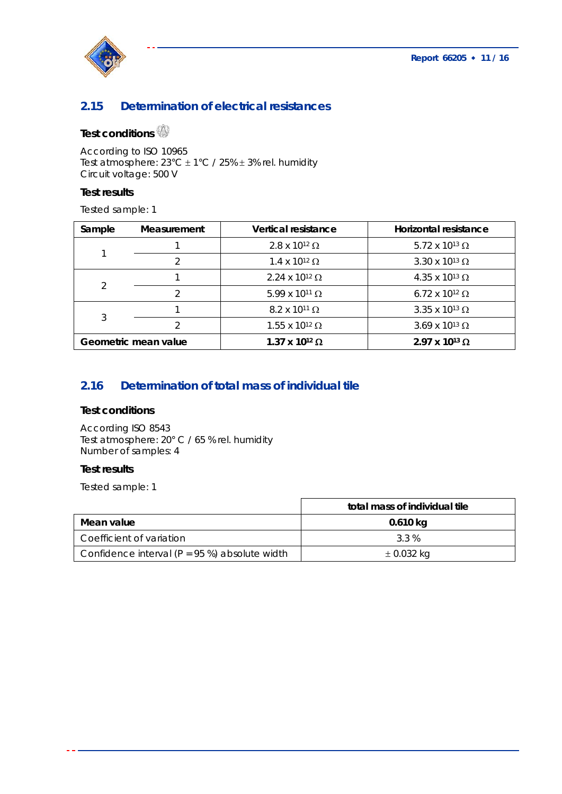

## **2.15 Determination of electrical resistances**

# **Test conditions**

According to ISO 10965 Test atmosphere:  $23^{\circ}$ C  $\pm$  1°C / 25%  $\pm$  3% rel. humidity Circuit voltage: 500 V

### **Test results**

Tested sample: 1

| Sample | <b>Measurement</b>   | <b>Vertical resistance</b>       | Horizontal resistance            |
|--------|----------------------|----------------------------------|----------------------------------|
|        |                      | $2.8 \times 10^{12} \Omega$      | 5.72 x 10 <sup>13</sup> $\Omega$ |
|        | っ                    | $1.4 \times 10^{12} \Omega$      | 3.30 x 10 <sup>13</sup> $\Omega$ |
|        |                      | 2.24 x 10 <sup>12</sup> $\Omega$ | $4.35 \times 10^{13}$ Ω          |
|        | っ                    | $5.99$ x 10 <sup>11</sup> Ω      | 6.72 x 10 <sup>12</sup> $\Omega$ |
| 3      |                      | $8.2 \times 10^{11} \Omega$      | 3.35 x 10 <sup>13</sup> $\Omega$ |
|        |                      | $1.55$ x $10^{12}$ Ω             | $3.69 \times 10^{13} \Omega$     |
|        | Geometric mean value | 1.37 x 10 <sup>12</sup> Ω        | 2.97 x 10 <sup>13</sup> Ω        |

## **2.16 Determination of total mass of individual tile**

### **Test conditions**

According ISO 8543 Test atmosphere: 20° C / 65 % rel. humidity Number of samples: 4

### **Test results**

Tested sample: 1

|                                                  | total mass of individual tile |
|--------------------------------------------------|-------------------------------|
| Mean value                                       | 0.610 kg                      |
| Coefficient of variation                         | 3.3 %                         |
| Confidence interval ( $P = 95$ %) absolute width | $\pm$ 0.032 kg                |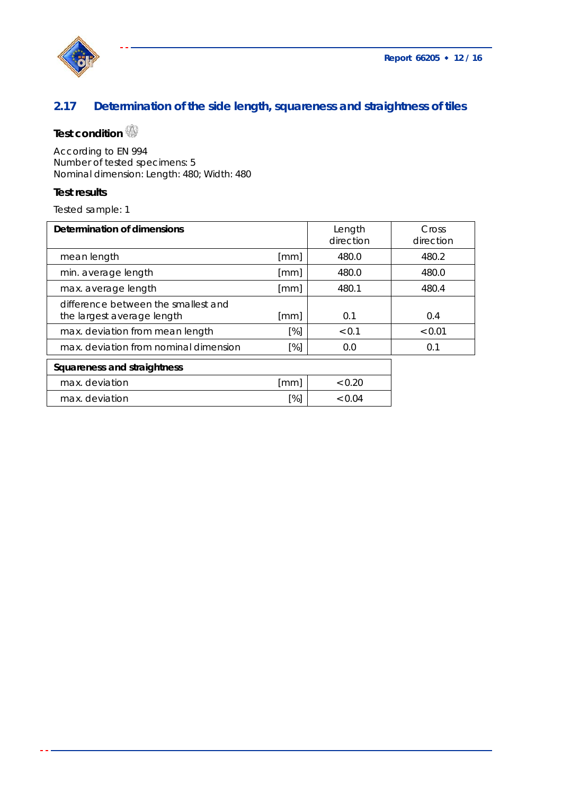

# **2.17 Determination of the side length, squareness and straightness of tiles**

# **Test condition**

According to EN 994 Number of tested specimens: 5 Nominal dimension: Length: 480; Width: 480

### **Test results**

Tested sample: 1

| Determination of dimensions                                       |      | Length<br>direction | Cross<br>direction |
|-------------------------------------------------------------------|------|---------------------|--------------------|
| mean length                                                       | [mm] | 480.0               | 480.2              |
| min. average length                                               | [mm] | 480.0               | 480.0              |
| max. average length                                               | [mm] | 480.1               | 480.4              |
| difference between the smallest and<br>the largest average length | [mm] | 0.1                 | 0.4                |
| max. deviation from mean length                                   | [%]  | < 0.1               | < 0.01             |
| max, deviation from nominal dimension                             | [%]  | 0.0                 | 0.1                |
| Squareness and straightness                                       |      |                     |                    |
| max. deviation                                                    | [mm] | ${}_{<} 0.20$       |                    |
| max. deviation                                                    | [%]  | < 0.04              |                    |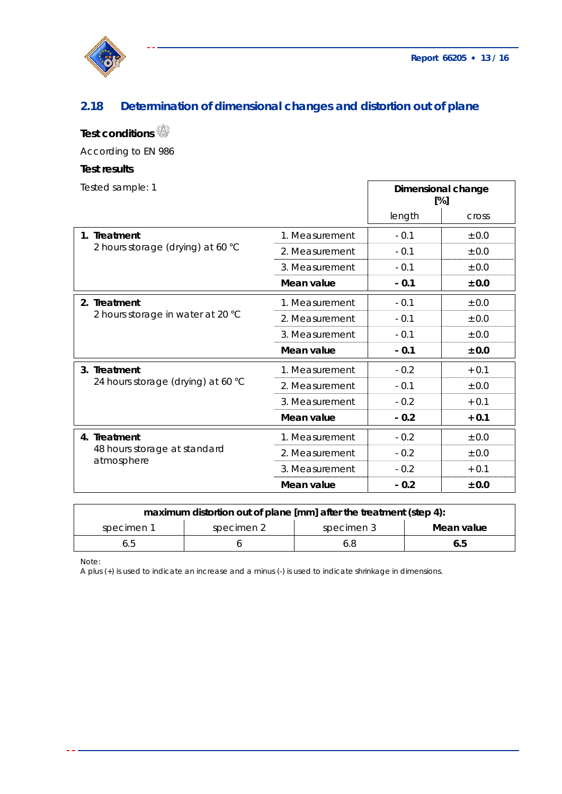

# **2.18 Determination of dimensional changes and distortion out of plane**

# **Test conditions**

According to EN 986

### **Test results**

| Tested sample: 1                                           |                |        | Dimensional change<br>[%] |
|------------------------------------------------------------|----------------|--------|---------------------------|
|                                                            |                | length | <b>Cross</b>              |
| 1. Treatment                                               | 1. Measurement | $-0.1$ | ± 0.0                     |
| 2 hours storage (drying) at 60 °C                          | 2. Measurement | $-0.1$ | ± 0.0                     |
|                                                            | 3. Measurement | $-0.1$ | ± 0.0                     |
|                                                            | Mean value     | $-0.1$ | ± 0.0                     |
| 2. Treatment                                               | 1. Measurement | $-0.1$ | ± 0.0                     |
| 2 hours storage in water at 20 °C                          | 2. Measurement | $-0.1$ | ± 0.0                     |
|                                                            | 3. Measurement | $-0.1$ | ± 0.0                     |
|                                                            | Mean value     | $-0.1$ | ± 0.0                     |
| 3. Treatment                                               | 1. Measurement | $-0.2$ | $+0.1$                    |
| 24 hours storage (drying) at 60 °C                         | 2. Measurement | $-0.1$ | ± 0.0                     |
|                                                            | 3. Measurement | $-0.2$ | $+0.1$                    |
|                                                            | Mean value     | $-0.2$ | $+0.1$                    |
| 4. Treatment<br>48 hours storage at standard<br>atmosphere | 1. Measurement | $-0.2$ | $\pm$ 0.0                 |
|                                                            | 2. Measurement | $-0.2$ | ± 0.0                     |
|                                                            | 3. Measurement | $-0.2$ | $+0.1$                    |
|                                                            | Mean value     | $-0.2$ | ± 0.0                     |

| maximum distortion out of plane [mm] after the treatment (step 4): |            |            |            |  |
|--------------------------------------------------------------------|------------|------------|------------|--|
| specimen 1                                                         | specimen 2 | specimen 3 | Mean value |  |
|                                                                    |            |            | 6.5        |  |

Note:

A plus (+) is used to indicate an increase and a minus (-) is used to indicate shrinkage in dimensions.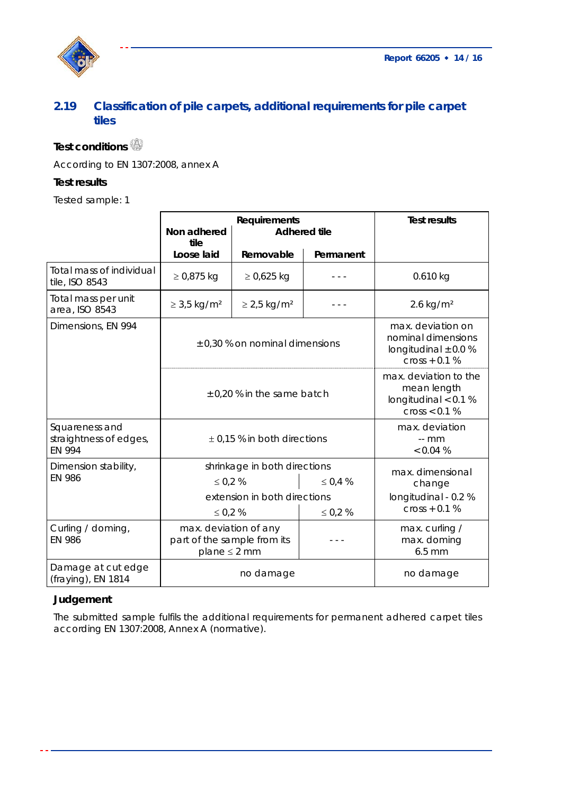



## **2.19 Classification of pile carpets, additional requirements for pile carpet tiles**

# **Test conditions**

According to EN 1307:2008, annex A

## **Test results**

Tested sample: 1

|                                                           | <b>Requirements</b><br>Non adhered<br><b>Adhered tile</b><br>tile         |                              | <b>Test results</b>                  |                                                                                        |  |
|-----------------------------------------------------------|---------------------------------------------------------------------------|------------------------------|--------------------------------------|----------------------------------------------------------------------------------------|--|
|                                                           | Loose laid                                                                | Removable                    | Permanent                            |                                                                                        |  |
| Total mass of individual<br>tile, ISO 8543                | $≥ 0,875$ kg                                                              | $\geq$ 0,625 kg              |                                      | $0.610$ kg                                                                             |  |
| Total mass per unit<br>area, ISO 8543                     | $\geq$ 3,5 kg/m <sup>2</sup>                                              | $\geq$ 2,5 kg/m <sup>2</sup> |                                      | $2.6$ kg/m <sup>2</sup>                                                                |  |
| Dimensions, EN 994                                        | ± 0,30 % on nominal dimensions                                            |                              |                                      | max. deviation on<br>nominal dimensions<br>longitudinal $\pm$ 0.0 %<br>$cross + 0.1 %$ |  |
|                                                           | $\pm$ 0.20 % in the same batch                                            |                              |                                      | max. deviation to the<br>mean length<br>longitudinal $< 0.1 %$<br>cross < 0.1 %        |  |
| Squareness and<br>straightness of edges,<br><b>EN 994</b> | $\pm$ 0,15 % in both directions                                           |                              | max. deviation<br>$-$ mm<br>< 0.04 % |                                                                                        |  |
| Dimension stability,                                      | shrinkage in both directions                                              |                              | max. dimensional                     |                                                                                        |  |
| <b>EN 986</b>                                             | $\leq 0.2 \%$<br>$\leq 0.4 \%$                                            |                              | change                               |                                                                                        |  |
|                                                           | extension in both directions                                              |                              | longitudinal - 0.2 %                 |                                                                                        |  |
|                                                           | $\leq 0.2 \%$                                                             |                              | $\leq 0.2 \%$                        | $cross + 0.1 %$                                                                        |  |
| Curling / doming,<br><b>EN 986</b>                        | max. deviation of any<br>part of the sample from its<br>$plane \leq 2 mm$ |                              |                                      | max. curling /<br>max. doming<br>$6.5$ mm                                              |  |
| Damage at cut edge<br>(fraying), EN 1814                  | no damage                                                                 |                              | no damage                            |                                                                                        |  |

## **Judgement**

The submitted sample fulfils the additional requirements for permanent adhered carpet tiles according EN 1307:2008, Annex A (normative).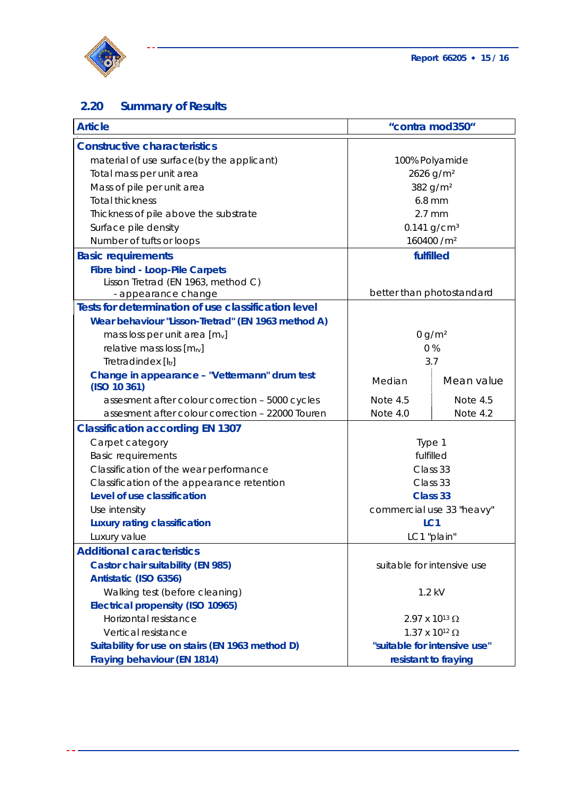

# **2.20 Summary of Results**

| <b>Article</b>                                                |                              | "contra mod350"                  |
|---------------------------------------------------------------|------------------------------|----------------------------------|
| <b>Constructive characteristics</b>                           |                              |                                  |
| material of use surface(by the applicant)                     | 100% Polyamide               |                                  |
| Total mass per unit area                                      |                              | 2626 g/m <sup>2</sup>            |
| Mass of pile per unit area                                    |                              | 382 g/m <sup>2</sup>             |
| <b>Total thickness</b>                                        |                              | $6.8$ mm                         |
| Thickness of pile above the substrate                         | $2.7$ mm                     |                                  |
| Surface pile density                                          |                              | $0.141$ g/cm <sup>3</sup>        |
| Number of tufts or loops                                      |                              | 160400 /m <sup>2</sup>           |
| <b>Basic requirements</b>                                     | fulfilled                    |                                  |
| <b>Fibre bind - Loop-Pile Carpets</b>                         |                              |                                  |
| Lisson Tretrad (EN 1963, method C)                            |                              |                                  |
| - appearance change                                           |                              | better than photostandard        |
| Tests for determination of use classification level           |                              |                                  |
| Wear behaviour "Lisson-Tretrad" (EN 1963 method A)            |                              |                                  |
| mass loss per unit area $[m_v]$                               | 0 g/m <sup>2</sup>           |                                  |
| relative mass loss $[m_{IV}]$                                 | 0%                           |                                  |
| Tretradindex [ltr]                                            | 3.7                          |                                  |
| Change in appearance - "Vettermann" drum test<br>(ISO 10 361) | Median                       | Mean value                       |
| assesment after colour correction - 5000 cycles               | Note 4.5                     | Note 4.5                         |
| assesment after colour correction - 22000 Touren              | Note 4.0                     | Note 4.2                         |
| <b>Classification according EN 1307</b>                       |                              |                                  |
| Carpet category                                               | Type 1                       |                                  |
| <b>Basic requirements</b>                                     | fulfilled                    |                                  |
| Classification of the wear performance                        | Class 33                     |                                  |
| Classification of the appearance retention                    | Class 33                     |                                  |
| Level of use classification                                   | Class 33                     |                                  |
| Use intensity                                                 | commercial use 33 "heavy"    |                                  |
| <b>Luxury rating classification</b>                           | LC <sub>1</sub>              |                                  |
| Luxury value                                                  | LC1 "plain"                  |                                  |
| <b>Additional caracteristics</b>                              |                              |                                  |
| <b>Castor chair suitability (EN 985)</b>                      |                              | suitable for intensive use       |
| Antistatic (ISO 6356)                                         |                              |                                  |
| Walking test (before cleaning)                                | $1.2$ kV                     |                                  |
| <b>Electrical propensity (ISO 10965)</b>                      |                              |                                  |
| Horizontal resistance                                         |                              | 2.97 x 10 <sup>13</sup> $\Omega$ |
| Vertical resistance<br>$1.37$ x $10^{12}$ Ω                   |                              |                                  |
| Suitability for use on stairs (EN 1963 method D)              | "suitable for intensive use" |                                  |
| Fraying behaviour (EN 1814)                                   | resistant to fraying         |                                  |